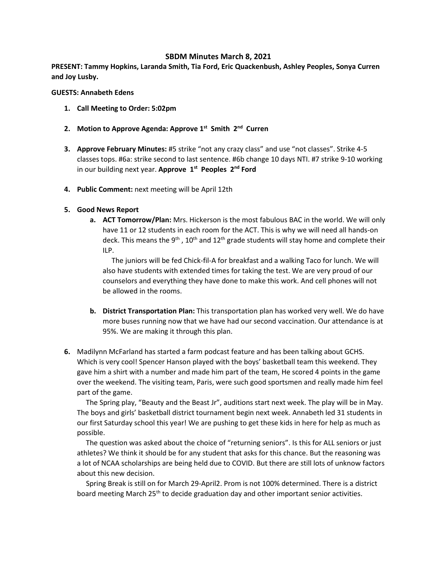# **SBDM Minutes March 8, 2021**

**PRESENT: Tammy Hopkins, Laranda Smith, Tia Ford, Eric Quackenbush, Ashley Peoples, Sonya Curren and Joy Lusby.**

#### **GUESTS: Annabeth Edens**

- **1. Call Meeting to Order: 5:02pm**
- **2. Motion to Approve Agenda: Approve 1st Smith 2nd Curren**
- **3. Approve February Minutes:** #5 strike "not any crazy class" and use "not classes". Strike 4-5 classes tops. #6a: strike second to last sentence. #6b change 10 days NTI. #7 strike 9-10 working in our building next year. **Approve 1st Peoples 2nd Ford**
- **4. Public Comment:** next meeting will be April 12th

## **5. Good News Report**

**a. ACT Tomorrow/Plan:** Mrs. Hickerson is the most fabulous BAC in the world. We will only have 11 or 12 students in each room for the ACT. This is why we will need all hands-on deck. This means the 9<sup>th</sup>, 10<sup>th</sup> and 12<sup>th</sup> grade students will stay home and complete their ILP.

The juniors will be fed Chick-fil-A for breakfast and a walking Taco for lunch. We will also have students with extended times for taking the test. We are very proud of our counselors and everything they have done to make this work. And cell phones will not be allowed in the rooms.

- **b. District Transportation Plan:** This transportation plan has worked very well. We do have more buses running now that we have had our second vaccination. Our attendance is at 95%. We are making it through this plan.
- **6.** Madilynn McFarland has started a farm podcast feature and has been talking about GCHS. Which is very cool! Spencer Hanson played with the boys' basketball team this weekend. They gave him a shirt with a number and made him part of the team, He scored 4 points in the game over the weekend. The visiting team, Paris, were such good sportsmen and really made him feel part of the game.

 The Spring play, "Beauty and the Beast Jr", auditions start next week. The play will be in May. The boys and girls' basketball district tournament begin next week. Annabeth led 31 students in our first Saturday school this year! We are pushing to get these kids in here for help as much as possible.

 The question was asked about the choice of "returning seniors". Is this for ALL seniors or just athletes? We think it should be for any student that asks for this chance. But the reasoning was a lot of NCAA scholarships are being held due to COVID. But there are still lots of unknow factors about this new decision.

 Spring Break is still on for March 29-April2. Prom is not 100% determined. There is a district board meeting March 25<sup>th</sup> to decide graduation day and other important senior activities.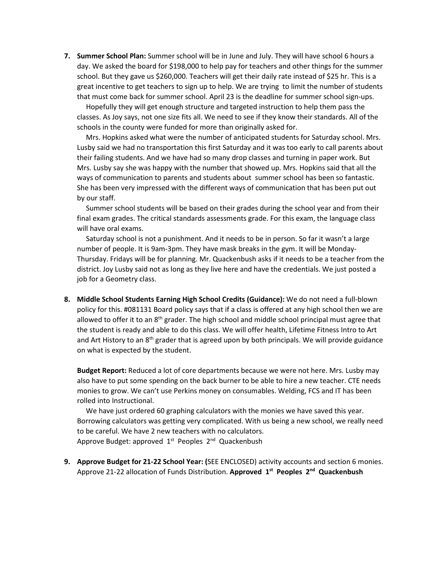**7. Summer School Plan:** Summer school will be in June and July. They will have school 6 hours a day. We asked the board for \$198,000 to help pay for teachers and other things for the summer school. But they gave us \$260,000. Teachers will get their daily rate instead of \$25 hr. This is a great incentive to get teachers to sign up to help. We are trying to limit the number of students that must come back for summer school. April 23 is the deadline for summer school sign-ups.

 Hopefully they will get enough structure and targeted instruction to help them pass the classes. As Joy says, not one size fits all. We need to see if they know their standards. All of the schools in the county were funded for more than originally asked for.

 Mrs. Hopkins asked what were the number of anticipated students for Saturday school. Mrs. Lusby said we had no transportation this first Saturday and it was too early to call parents about their failing students. And we have had so many drop classes and turning in paper work. But Mrs. Lusby say she was happy with the number that showed up. Mrs. Hopkins said that all the ways of communication to parents and students about summer school has been so fantastic. She has been very impressed with the different ways of communication that has been put out by our staff.

 Summer school students will be based on their grades during the school year and from their final exam grades. The critical standards assessments grade. For this exam, the language class will have oral exams.

 Saturday school is not a punishment. And it needs to be in person. So far it wasn't a large number of people. It is 9am-3pm. They have mask breaks in the gym. It will be Monday-Thursday. Fridays will be for planning. Mr. Quackenbush asks if it needs to be a teacher from the district. Joy Lusby said not as long as they live here and have the credentials. We just posted a job for a Geometry class.

**8. Middle School Students Earning High School Credits (Guidance):** We do not need a full-blown policy for this. #081131 Board policy says that if a class is offered at any high school then we are allowed to offer it to an  $8<sup>th</sup>$  grader. The high school and middle school principal must agree that the student is ready and able to do this class. We will offer health, Lifetime Fitness Intro to Art and Art History to an  $8<sup>th</sup>$  grader that is agreed upon by both principals. We will provide guidance on what is expected by the student.

**Budget Report:** Reduced a lot of core departments because we were not here. Mrs. Lusby may also have to put some spending on the back burner to be able to hire a new teacher. CTE needs monies to grow. We can't use Perkins money on consumables. Welding, FCS and IT has been rolled into Instructional.

 We have just ordered 60 graphing calculators with the monies we have saved this year. Borrowing calculators was getting very complicated. With us being a new school, we really need to be careful. We have 2 new teachers with no calculators. Approve Budget: approved 1<sup>st</sup> Peoples 2<sup>nd</sup> Quackenbush

**9. Approve Budget for 21-22 School Year: (**SEE ENCLOSED) activity accounts and section 6 monies. Approve 21-22 allocation of Funds Distribution. **Approved 1st Peoples 2nd Quackenbush**